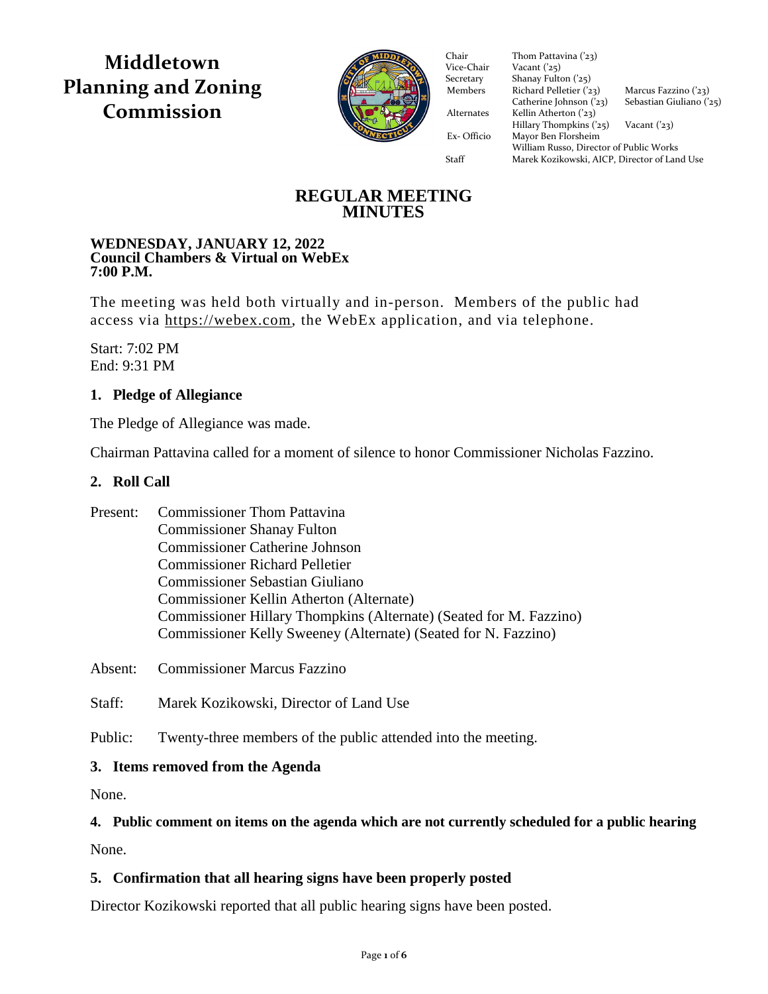**Middletown Planning and Zoning Commission**



Vice-Chair Vacant  $('25)$ Secretary Shanay Fulton ('25) Members Richard Pelletier  $(23)$  Marcus Fazzino  $(23)$ Catherine Johnson  $(23)$  Sebastian Giuliano  $(25)$ Alternates Kellin Atherton ('23)  $Hillary Thompson (25)$  Vacant ('23) Ex- Officio Mayor Ben Florsheim Ex- Officio Mayor Ben Florsheim Chair Thom Pattavina ('23)<br>Vice-Chair Vacant ('25) William Russo, Director of Public Works Staff Marek Kozikowski, AICP, Director of Land Use

**REGULAR MEETING MINUTES**

#### **WEDNESDAY, JANUARY 12, 2022 Council Chambers & Virtual on WebEx 7:00 P.M.**

The meeting was held both virtually and in-person. Members of the public had access via [https://webex.com,](https://webex.com/) the WebEx application, and via telephone.

Start: 7:02 PM End: 9:31 PM

# **1. Pledge of Allegiance**

The Pledge of Allegiance was made.

Chairman Pattavina called for a moment of silence to honor Commissioner Nicholas Fazzino.

#### **2. Roll Call**

| Present: | <b>Commissioner Thom Pattavina</b>                                 |
|----------|--------------------------------------------------------------------|
|          | <b>Commissioner Shanay Fulton</b>                                  |
|          | <b>Commissioner Catherine Johnson</b>                              |
|          | <b>Commissioner Richard Pelletier</b>                              |
|          | <b>Commissioner Sebastian Giuliano</b>                             |
|          | Commissioner Kellin Atherton (Alternate)                           |
|          | Commissioner Hillary Thompkins (Alternate) (Seated for M. Fazzino) |
|          | Commissioner Kelly Sweeney (Alternate) (Seated for N. Fazzino)     |

Absent: Commissioner Marcus Fazzino

Staff: Marek Kozikowski, Director of Land Use

Public: Twenty-three members of the public attended into the meeting.

# **3. Items removed from the Agenda**

None.

# **4. Public comment on items on the agenda which are not currently scheduled for a public hearing**

None.

# **5. Confirmation that all hearing signs have been properly posted**

Director Kozikowski reported that all public hearing signs have been posted.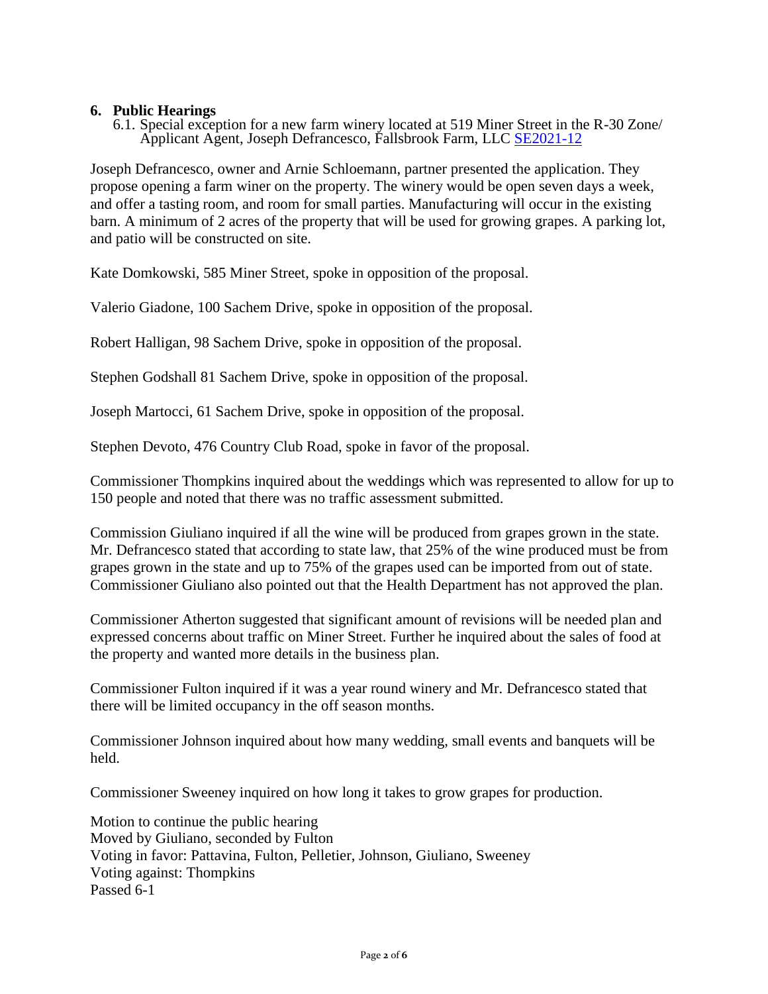#### **6. Public Hearings**

6.1. Special exception for a new farm winery located at 519 Miner Street in the R-30 Zone/ Applicant Agent, Joseph Defrancesco, Fallsbrook Farm, LLC [SE2021-12](https://middletownct.box.com/s/stk121rel15cyuw24lgvdq7fetw040qw)

Joseph Defrancesco, owner and Arnie Schloemann, partner presented the application. They propose opening a farm winer on the property. The winery would be open seven days a week, and offer a tasting room, and room for small parties. Manufacturing will occur in the existing barn. A minimum of 2 acres of the property that will be used for growing grapes. A parking lot, and patio will be constructed on site.

Kate Domkowski, 585 Miner Street, spoke in opposition of the proposal.

Valerio Giadone, 100 Sachem Drive, spoke in opposition of the proposal.

Robert Halligan, 98 Sachem Drive, spoke in opposition of the proposal.

Stephen Godshall 81 Sachem Drive, spoke in opposition of the proposal.

Joseph Martocci, 61 Sachem Drive, spoke in opposition of the proposal.

Stephen Devoto, 476 Country Club Road, spoke in favor of the proposal.

Commissioner Thompkins inquired about the weddings which was represented to allow for up to 150 people and noted that there was no traffic assessment submitted.

Commission Giuliano inquired if all the wine will be produced from grapes grown in the state. Mr. Defrancesco stated that according to state law, that 25% of the wine produced must be from grapes grown in the state and up to 75% of the grapes used can be imported from out of state. Commissioner Giuliano also pointed out that the Health Department has not approved the plan.

Commissioner Atherton suggested that significant amount of revisions will be needed plan and expressed concerns about traffic on Miner Street. Further he inquired about the sales of food at the property and wanted more details in the business plan.

Commissioner Fulton inquired if it was a year round winery and Mr. Defrancesco stated that there will be limited occupancy in the off season months.

Commissioner Johnson inquired about how many wedding, small events and banquets will be held.

Commissioner Sweeney inquired on how long it takes to grow grapes for production.

Motion to continue the public hearing Moved by Giuliano, seconded by Fulton Voting in favor: Pattavina, Fulton, Pelletier, Johnson, Giuliano, Sweeney Voting against: Thompkins Passed 6-1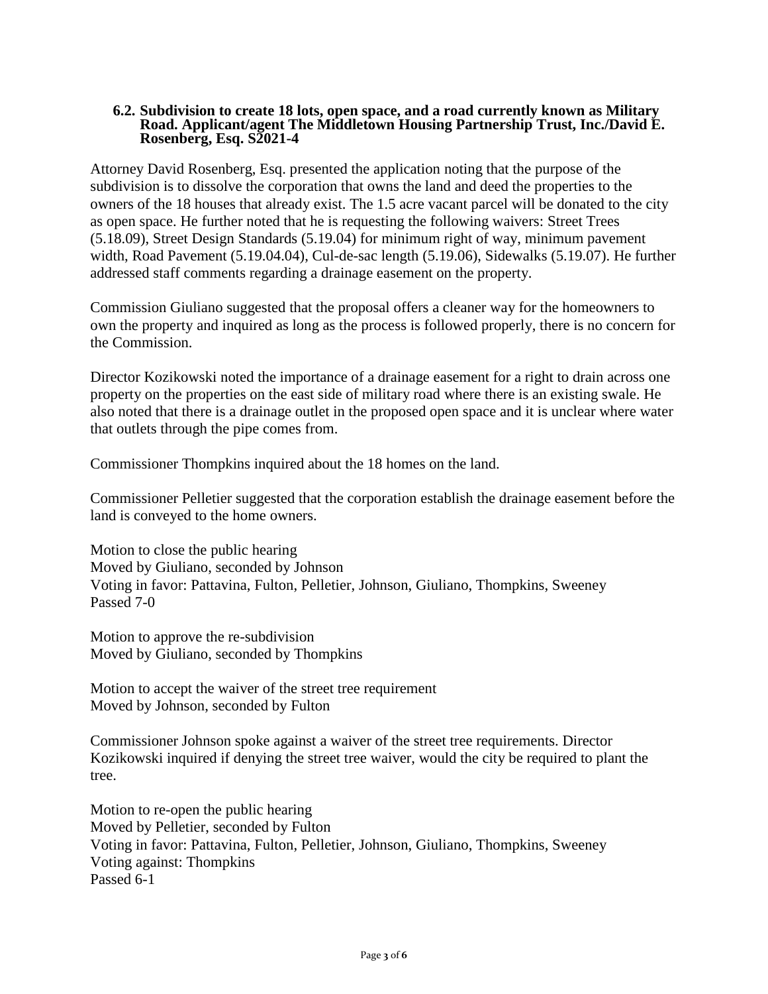#### **6.2. Subdivision to create 18 lots, open space, and a road currently known as Military Road. Applicant/agent The Middletown Housing Partnership Trust, Inc./David E. Rosenberg, Esq. S2021-4**

Attorney David Rosenberg, Esq. presented the application noting that the purpose of the subdivision is to dissolve the corporation that owns the land and deed the properties to the owners of the 18 houses that already exist. The 1.5 acre vacant parcel will be donated to the city as open space. He further noted that he is requesting the following waivers: Street Trees (5.18.09), Street Design Standards (5.19.04) for minimum right of way, minimum pavement width, Road Pavement (5.19.04.04), Cul-de-sac length (5.19.06), Sidewalks (5.19.07). He further addressed staff comments regarding a drainage easement on the property.

Commission Giuliano suggested that the proposal offers a cleaner way for the homeowners to own the property and inquired as long as the process is followed properly, there is no concern for the Commission.

Director Kozikowski noted the importance of a drainage easement for a right to drain across one property on the properties on the east side of military road where there is an existing swale. He also noted that there is a drainage outlet in the proposed open space and it is unclear where water that outlets through the pipe comes from.

Commissioner Thompkins inquired about the 18 homes on the land.

Commissioner Pelletier suggested that the corporation establish the drainage easement before the land is conveyed to the home owners.

Motion to close the public hearing Moved by Giuliano, seconded by Johnson Voting in favor: Pattavina, Fulton, Pelletier, Johnson, Giuliano, Thompkins, Sweeney Passed 7-0

Motion to approve the re-subdivision Moved by Giuliano, seconded by Thompkins

Motion to accept the waiver of the street tree requirement Moved by Johnson, seconded by Fulton

Commissioner Johnson spoke against a waiver of the street tree requirements. Director Kozikowski inquired if denying the street tree waiver, would the city be required to plant the tree.

Motion to re-open the public hearing Moved by Pelletier, seconded by Fulton Voting in favor: Pattavina, Fulton, Pelletier, Johnson, Giuliano, Thompkins, Sweeney Voting against: Thompkins Passed 6-1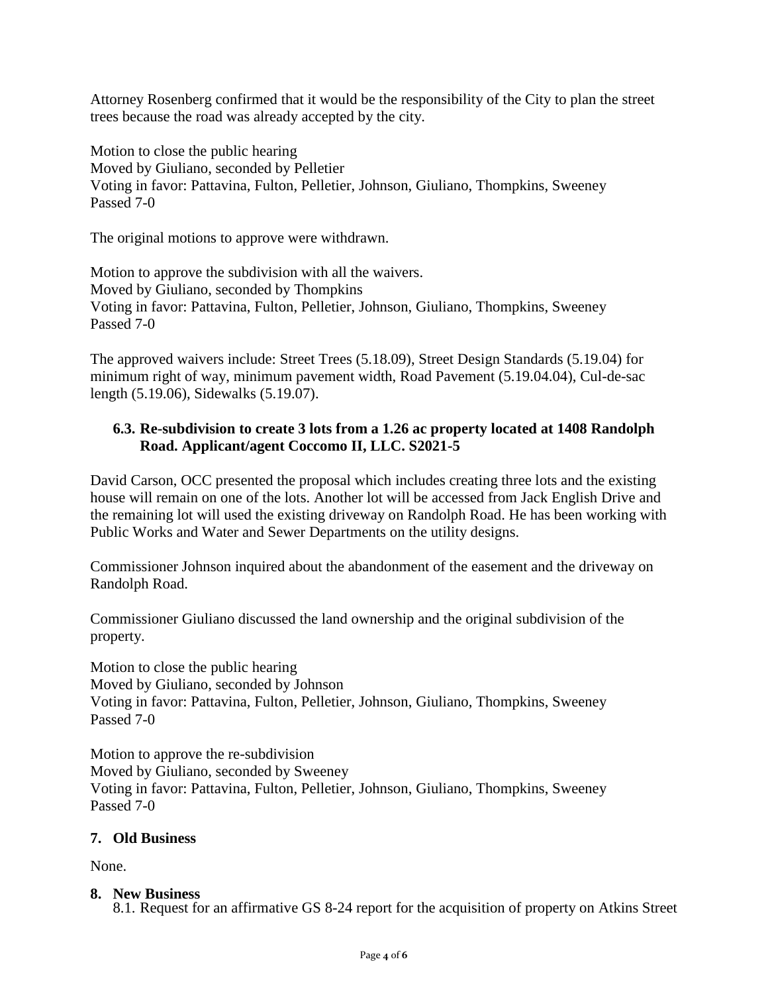Attorney Rosenberg confirmed that it would be the responsibility of the City to plan the street trees because the road was already accepted by the city.

Motion to close the public hearing Moved by Giuliano, seconded by Pelletier Voting in favor: Pattavina, Fulton, Pelletier, Johnson, Giuliano, Thompkins, Sweeney Passed 7-0

The original motions to approve were withdrawn.

Motion to approve the subdivision with all the waivers. Moved by Giuliano, seconded by Thompkins Voting in favor: Pattavina, Fulton, Pelletier, Johnson, Giuliano, Thompkins, Sweeney Passed 7-0

The approved waivers include: Street Trees (5.18.09), Street Design Standards (5.19.04) for minimum right of way, minimum pavement width, Road Pavement (5.19.04.04), Cul-de-sac length (5.19.06), Sidewalks (5.19.07).

# **6.3. Re-subdivision to create 3 lots from a 1.26 ac property located at 1408 Randolph Road. Applicant/agent Coccomo II, LLC. S2021-5**

David Carson, OCC presented the proposal which includes creating three lots and the existing house will remain on one of the lots. Another lot will be accessed from Jack English Drive and the remaining lot will used the existing driveway on Randolph Road. He has been working with Public Works and Water and Sewer Departments on the utility designs.

Commissioner Johnson inquired about the abandonment of the easement and the driveway on Randolph Road.

Commissioner Giuliano discussed the land ownership and the original subdivision of the property.

Motion to close the public hearing Moved by Giuliano, seconded by Johnson Voting in favor: Pattavina, Fulton, Pelletier, Johnson, Giuliano, Thompkins, Sweeney Passed 7-0

Motion to approve the re-subdivision Moved by Giuliano, seconded by Sweeney Voting in favor: Pattavina, Fulton, Pelletier, Johnson, Giuliano, Thompkins, Sweeney Passed 7-0

# **7. Old Business**

None.

# **8. New Business**

8.1. Request for an affirmative GS 8-24 report for the acquisition of property on Atkins Street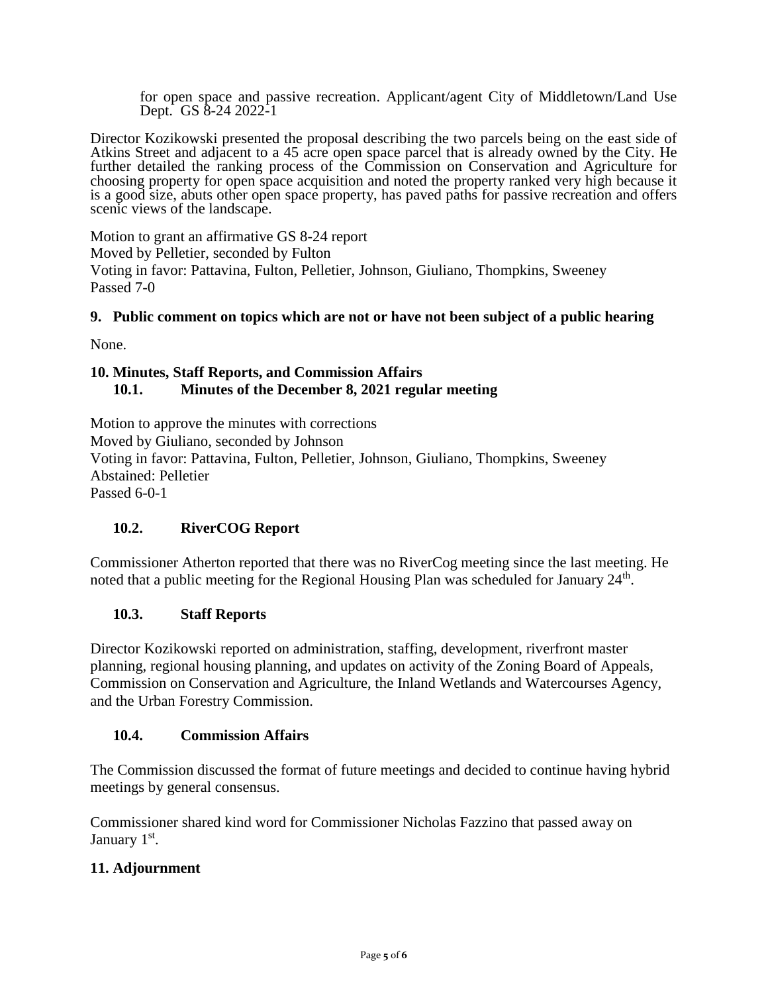for open space and passive recreation. Applicant/agent City of Middletown/Land Use Dept. GS 8-24 2022-1

Director Kozikowski presented the proposal describing the two parcels being on the east side of Atkins Street and adjacent to a 45 acre open space parcel that is already owned by the City. He further detailed the ranking process of the Commission on Conservation and Agriculture for choosing property for open space acquisition and noted the property ranked very high because it is a good size, abuts other open space property, has paved paths for passive recreation and offers scenic views of the landscape.

Motion to grant an affirmative GS 8-24 report Moved by Pelletier, seconded by Fulton Voting in favor: Pattavina, Fulton, Pelletier, Johnson, Giuliano, Thompkins, Sweeney Passed 7-0

#### **9. Public comment on topics which are not or have not been subject of a public hearing**

None.

#### **10. Minutes, Staff Reports, and Commission Affairs 10.1. Minutes of the December 8, 2021 regular meeting**

Motion to approve the minutes with corrections

Moved by Giuliano, seconded by Johnson

Voting in favor: Pattavina, Fulton, Pelletier, Johnson, Giuliano, Thompkins, Sweeney Abstained: Pelletier

Passed 6-0-1

# **10.2. RiverCOG Report**

Commissioner Atherton reported that there was no RiverCog meeting since the last meeting. He noted that a public meeting for the Regional Housing Plan was scheduled for January 24<sup>th</sup>.

#### **10.3. Staff Reports**

Director Kozikowski reported on administration, staffing, development, riverfront master planning, regional housing planning, and updates on activity of the Zoning Board of Appeals, Commission on Conservation and Agriculture, the Inland Wetlands and Watercourses Agency, and the Urban Forestry Commission.

#### **10.4. Commission Affairs**

The Commission discussed the format of future meetings and decided to continue having hybrid meetings by general consensus.

Commissioner shared kind word for Commissioner Nicholas Fazzino that passed away on January 1<sup>st</sup>.

#### **11. Adjournment**